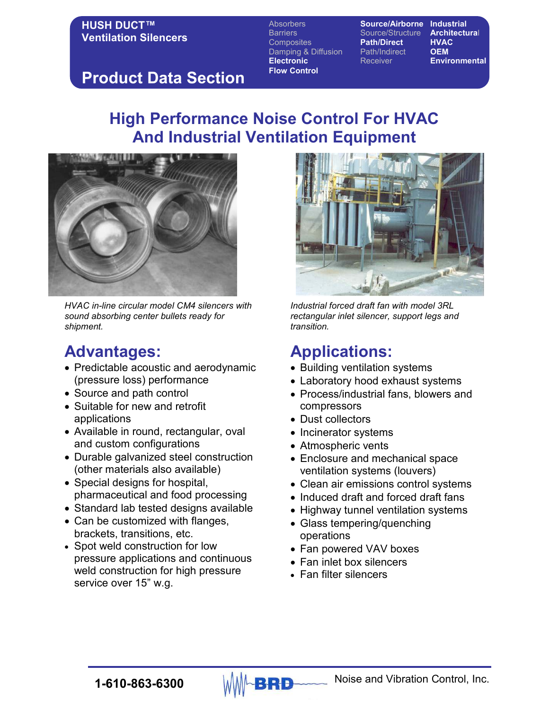Absorbers **Source/Airborne Industrial** Barriers Source/Structure **Architectura**l Composites **Path/Direct HVAC**<br>Damping & Diffusion Path/Indirect **OEM** Damping & Diffusion **Path/Indirect Electronic** Receiver **Environmental Flow Control** 

# **Product Data Section**

# **High Performance Noise Control For HVAC And Industrial Ventilation Equipment**



*HVAC in-line circular model CM4 silencers with sound absorbing center bullets ready for shipment.* 

# **Advantages:**

- Predictable acoustic and aerodynamic (pressure loss) performance
- Source and path control
- Suitable for new and retrofit applications
- Available in round, rectangular, oval and custom configurations
- Durable galvanized steel construction (other materials also available)
- Special designs for hospital, pharmaceutical and food processing
- Standard lab tested designs available
- Can be customized with flanges, brackets, transitions, etc.
- Spot weld construction for low pressure applications and continuous weld construction for high pressure service over 15" w.g.



*Industrial forced draft fan with model 3RL rectangular inlet silencer, support legs and transition.*

# **Applications:**

- Building ventilation systems
- Laboratory hood exhaust systems
- Process/industrial fans, blowers and compressors
- Dust collectors
- Incinerator systems
- Atmospheric vents
- Enclosure and mechanical space ventilation systems (louvers)
- Clean air emissions control systems
- Induced draft and forced draft fans
- Highway tunnel ventilation systems
- Glass tempering/quenching operations
- Fan powered VAV boxes
- Fan inlet box silencers
- Fan filter silencers

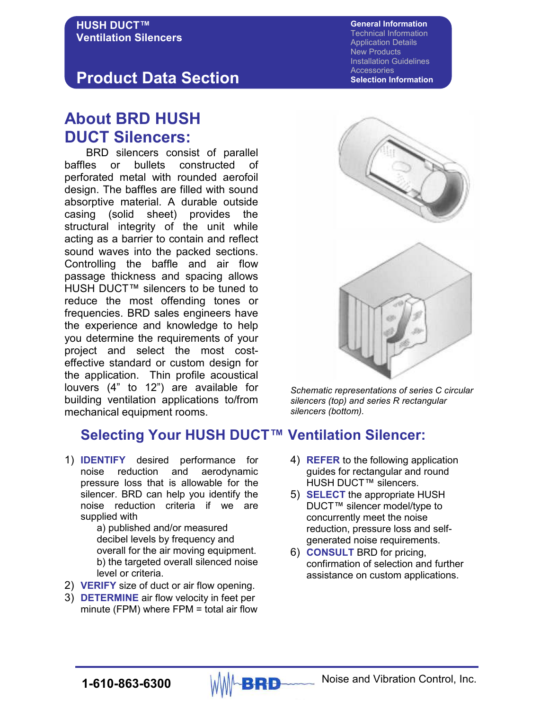# **Product Data Section**

# **About BRD HUSH DUCT Silencers:**

 BRD silencers consist of parallel baffles or bullets constructed of perforated metal with rounded aerofoil design. The baffles are filled with sound absorptive material. A durable outside casing (solid sheet) provides the structural integrity of the unit while acting as a barrier to contain and reflect sound waves into the packed sections. Controlling the baffle and air flow passage thickness and spacing allows HUSH DUCT™ silencers to be tuned to reduce the most offending tones or frequencies. BRD sales engineers have the experience and knowledge to help you determine the requirements of your project and select the most costeffective standard or custom design for the application. Thin profile acoustical louvers (4" to 12") are available for building ventilation applications to/from mechanical equipment rooms.



1) **IDENTIFY** desired performance for noise reduction and aerodynamic pressure loss that is allowable for the silencer. BRD can help you identify the noise reduction criteria if we are supplied with

> a) published and/or measured decibel levels by frequency and overall for the air moving equipment. b) the targeted overall silenced noise level or criteria.

- 2) **VERIFY** size of duct or air flow opening.
- 3) **DETERMINE** air flow velocity in feet per minute (FPM) where FPM = total air flow





*Schematic representations of series C circular silencers (top) and series R rectangular silencers (bottom).*

- 4) **REFER** to the following application guides for rectangular and round HUSH DUCT™ silencers.
- 5) **SELECT** the appropriate HUSH DUCT™ silencer model/type to concurrently meet the noise reduction, pressure loss and selfgenerated noise requirements.
- 6) **CONSULT** BRD for pricing, confirmation of selection and further assistance on custom applications.

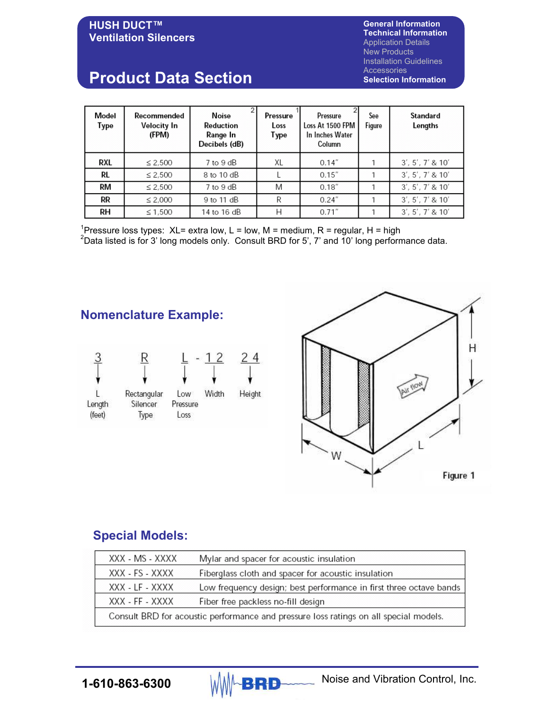**General Information Technical Information**  Application Details New Products Installation Guidelines Accessories **Selection Information** 

#### **HUSH DUCT™ Ventilation Silencers**

# **Product Data Section**

| Model<br>Type | Recommended<br>Velocity In<br>(FPM) | <b>Noise</b><br>Reduction<br>Range In<br>Decibels (dB) | Pressure<br>Loss<br>Type | Pressure<br>Loss At 1500 FPM<br>In Inches Water<br>Column | See<br>Figure | Standard<br>Lengths |
|---------------|-------------------------------------|--------------------------------------------------------|--------------------------|-----------------------------------------------------------|---------------|---------------------|
| <b>RXL</b>    | $\leq 2,500$                        | 7 to 9 dB                                              | XL                       | $0.14$ "                                                  |               | 3', 5', 7' 8 10'    |
| RL            | $\leq 2.500$                        | 8 to 10 dB                                             |                          | 0.15''                                                    |               | 3', 5', 7' 8 10'    |
| RM            | $\leq 2.500$                        | $7$ to $9$ dB                                          | M                        | 0.18''                                                    |               | 3', 5', 7' 8 10'    |
| RR            | $\leq 2.000$                        | 9 to 11 dB                                             | R                        | 0.24''                                                    |               | 3', 5', 7' 8 10'    |
| RН            | $\leq 1,500$                        | 14 to 16 dB                                            | Н                        | 0.71''                                                    |               | 3', 5', 7' 8, 10'   |

<sup>1</sup>Pressure loss types: XL= extra low, L = low, M = medium, R = regular, H = high <sup>2</sup>Data listed is for 3' long models only. Consult BRD for 5', 7' and 10' long performance data.





### **Special Models:**

| XXX - MS - XXXX                                                                       | Mylar and spacer for acoustic insulation                           |  |  |  |
|---------------------------------------------------------------------------------------|--------------------------------------------------------------------|--|--|--|
| XXX - FS - XXXX                                                                       | Fiberglass cloth and spacer for acoustic insulation                |  |  |  |
| XXX - LF - XXXX                                                                       | Low frequency design; best performance in first three octave bands |  |  |  |
| XXX - FF - XXXX                                                                       | Fiber free packless no-fill design                                 |  |  |  |
| Consult BRD for acoustic performance and pressure loss ratings on all special models. |                                                                    |  |  |  |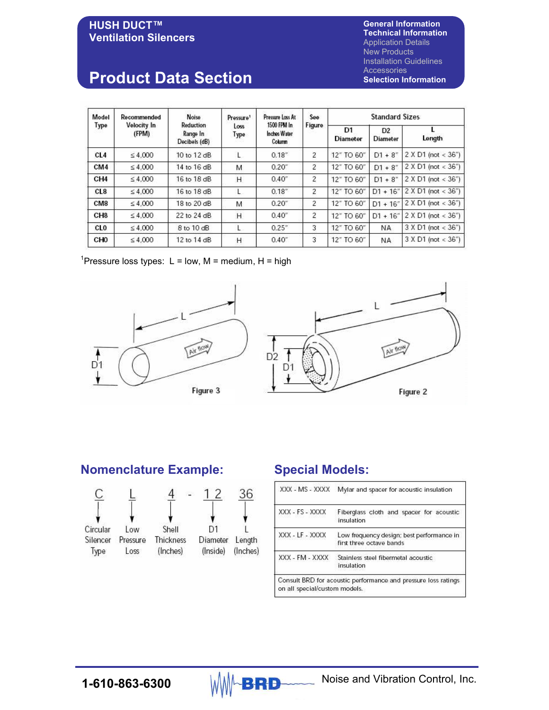# **General Information Technical Information**

#### **HUSH DUCT™ Ventilation Silencers**

Application Details New Products Installation Guidelines Accessories **Selection Information** 

# **Product Data Section**

| Model<br>Type   | Recommended<br>Velocity In<br>(FPM) | Noise<br>Reduction<br>Range In<br>Decibels (dB) | Pressure <sup>1</sup><br>Loss<br>Type | Pressure Loss At<br>1500 FPM In<br>Inches Water<br>Column | See<br>Figure | <b>Standard Sizes</b> |                                   |                           |
|-----------------|-------------------------------------|-------------------------------------------------|---------------------------------------|-----------------------------------------------------------|---------------|-----------------------|-----------------------------------|---------------------------|
|                 |                                     |                                                 |                                       |                                                           |               | D1<br>Diameter        | D <sub>2</sub><br><b>Diameter</b> | Length                    |
| CL4             | $\leq 4.000$                        | 10 to 12 dB                                     | L                                     | 0.18"                                                     | 2             | 12" TO 60"            | $D1 + 8^{n}$                      | $2 \times D1$ (not < 36") |
| CM4             | $\leq 4,000$                        | 14 to 16 dB                                     | M                                     | $0.20$ "                                                  | 2             | 12" TO 60"            | $D1 + 8$ "                        | $2 X D1$ (not < 36")      |
| CH <sub>4</sub> | $\leq 4.000$                        | 16 to 18 dB                                     | H                                     | 0.40"                                                     | 2             | 12" TO 60"            | $D1 + 8$ "                        | $2 \times D1$ (not < 36") |
| CL <sub>8</sub> | $\leq 4.000$                        | 16 to 18 dB                                     | L                                     | 0.18"                                                     | 2             | 12" TO 60"            | $D1 + 16"$                        | $2 \times D1$ (not < 36") |
| CM <sub>8</sub> | $\leq 4,000$                        | 18 to 20 dB                                     | M                                     | $0.20$ "                                                  | 2             | 12" TO 60"            | $D1 + 16''$                       | 2 X D1 (not < 36")        |
| CH <sub>8</sub> | $\leq 4.000$                        | 22 to 24 dB                                     | Η                                     | 0.40"                                                     | 2             | 12" TO 60"            | $D1 + 16''$                       | 2 X D1 (not < 36")        |
| <b>CLO</b>      | $\leq 4,000$                        | 8 to 10 dB                                      | L                                     | 0.25"                                                     | 3             | 12" TO 60"            | <b>NA</b>                         | 3 X D1 (not < 36")        |
| CH <sub>0</sub> | $\leq 4,000$                        | 12 to 14 dB                                     | Н                                     | $0.40$ "                                                  | 3             | 12" TO 60"            | <b>NA</b>                         | $3 X D1$ (not < $36"$ )   |

<sup>1</sup>Pressure loss types: L = low, M = medium, H = high







L

Air flow

### **Nomenclature Example: Special Models:**



| XXX - MS - XXXX | Mylar and spacer for acoustic insulation                              |
|-----------------|-----------------------------------------------------------------------|
| XXX - FS - XXXX | Fiberglass cloth and spacer for acoustic<br>insulation                |
| XXX - LF - XXXX | Low frequency design; best performance in<br>first three octave bands |
| XXX - FM - XXXX | Stainless steel fibermetal acoustic<br>insulation                     |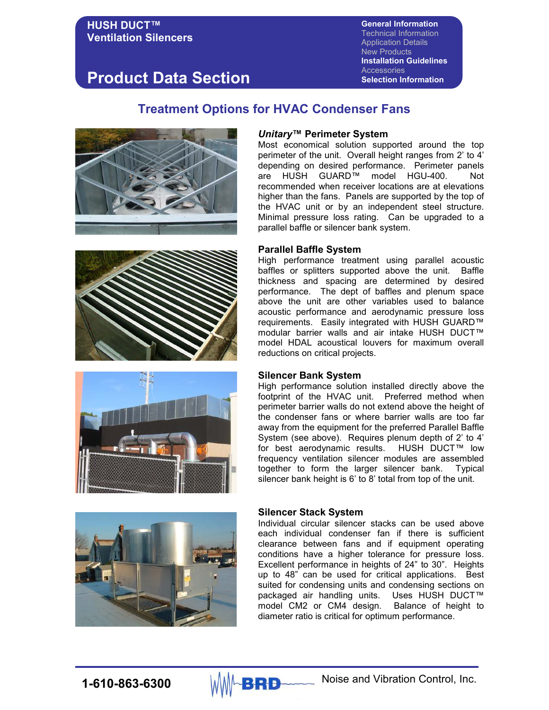**General Information** Technical Information Application Details New Products **Installation Guidelines Accessories Selection Information** 

# **Product Data Section**

### **Treatment Options for HVAC Condenser Fans**









#### *Unitary***™ Perimeter System**

Most economical solution supported around the top perimeter of the unit. Overall height ranges from 2' to 4' depending on desired performance. Perimeter panels are HUSH GUARD™ model HGU-400. Not recommended when receiver locations are at elevations higher than the fans. Panels are supported by the top of the HVAC unit or by an independent steel structure. Minimal pressure loss rating. Can be upgraded to a parallel baffle or silencer bank system.

#### **Parallel Baffle System**

High performance treatment using parallel acoustic baffles or splitters supported above the unit. Baffle thickness and spacing are determined by desired performance. The dept of baffles and plenum space above the unit are other variables used to balance acoustic performance and aerodynamic pressure loss requirements. Easily integrated with HUSH GUARD™ modular barrier walls and air intake HUSH DUCT™ model HDAL acoustical louvers for maximum overall reductions on critical projects.

#### **Silencer Bank System**

High performance solution installed directly above the footprint of the HVAC unit. Preferred method when perimeter barrier walls do not extend above the height of the condenser fans or where barrier walls are too far away from the equipment for the preferred Parallel Baffle System (see above). Requires plenum depth of 2' to 4' for best aerodynamic results. HUSH DUCT™ low frequency ventilation silencer modules are assembled together to form the larger silencer bank. Typical silencer bank height is 6' to 8' total from top of the unit.

#### **Silencer Stack System**

Individual circular silencer stacks can be used above each individual condenser fan if there is sufficient clearance between fans and if equipment operating conditions have a higher tolerance for pressure loss. Excellent performance in heights of 24" to 30". Heights up to 48" can be used for critical applications. Best suited for condensing units and condensing sections on packaged air handling units. Uses HUSH DUCT™ model CM2 or CM4 design. Balance of height to diameter ratio is critical for optimum performance.

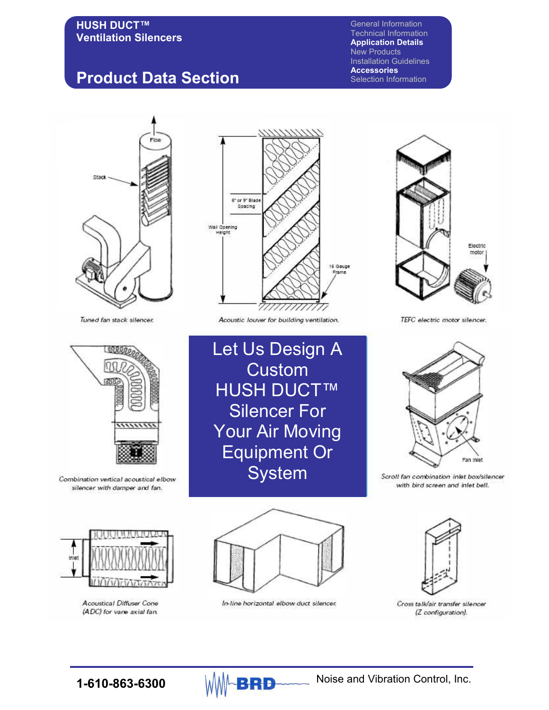# **Product Data Section**

General Information Technical Information **Application Details**  New Products Installation Guidelines **Accessories**  Selection Information



Tuned fan stack silencer.



Combination vertical acoustical elbow silencer with damper and fan.



**Acoustical Diffuser Cone** (ADC) for vane axial fan.



Acoustic louver for building ventilation.

Let Us Design A **Custom** HUSH DUCT™ Silencer For Your Air Moving Equipment Or **System** 



TEFC electric motor silencer.



Scroll fan combination inlet box/silencer with bird screen and inlet bell.



In-line horizontal elbow duct silencer.



Cross talk/air transfer silencer (Z configuration).